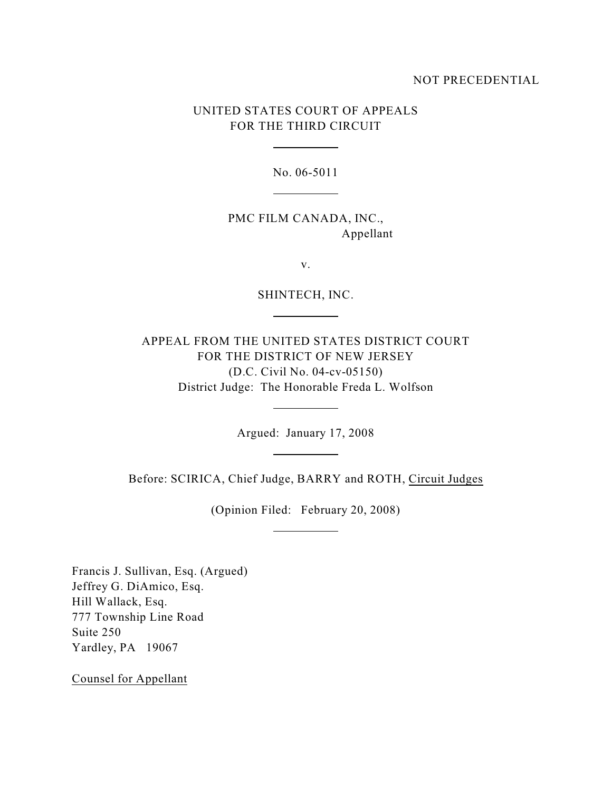## NOT PRECEDENTIAL

## UNITED STATES COURT OF APPEALS FOR THE THIRD CIRCUIT

 $\overline{a}$ 

 $\overline{a}$ 

 $\overline{a}$ 

 $\overline{a}$ 

 $\overline{a}$ 

 $\overline{a}$ 

No. 06-5011

PMC FILM CANADA, INC., Appellant

v.

SHINTECH, INC.

APPEAL FROM THE UNITED STATES DISTRICT COURT FOR THE DISTRICT OF NEW JERSEY (D.C. Civil No. 04-cv-05150) District Judge: The Honorable Freda L. Wolfson

Argued: January 17, 2008

Before: SCIRICA, Chief Judge, BARRY and ROTH, Circuit Judges

(Opinion Filed: February 20, 2008)

Francis J. Sullivan, Esq. (Argued) Jeffrey G. DiAmico, Esq. Hill Wallack, Esq. 777 Township Line Road Suite 250 Yardley, PA 19067

Counsel for Appellant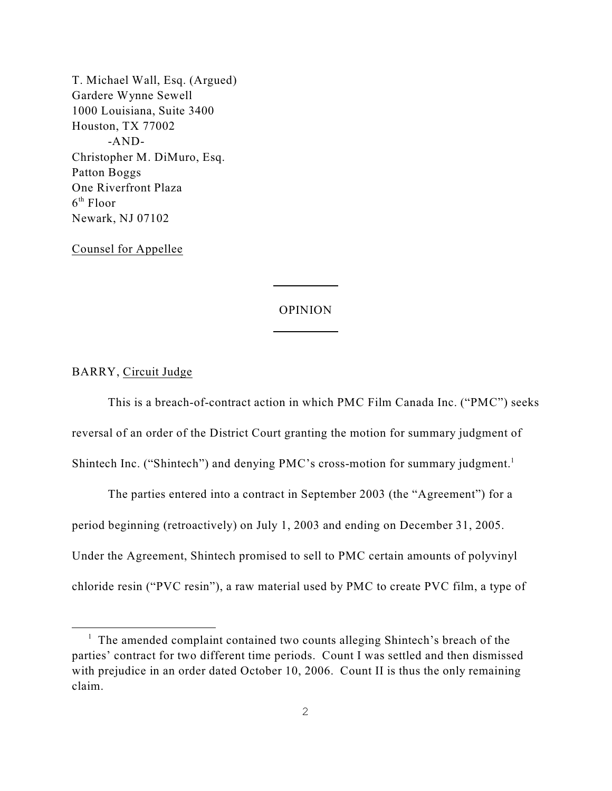T. Michael Wall, Esq. (Argued) Gardere Wynne Sewell 1000 Louisiana, Suite 3400 Houston, TX 77002 -AND-Christopher M. DiMuro, Esq. Patton Boggs One Riverfront Plaza  $6<sup>th</sup>$  Floor Newark, NJ 07102

Counsel for Appellee

## OPINION

 $\overline{a}$ 

 $\overline{a}$ 

BARRY, Circuit Judge

This is a breach-of-contract action in which PMC Film Canada Inc. ("PMC") seeks reversal of an order of the District Court granting the motion for summary judgment of Shintech Inc. ("Shintech") and denying PMC's cross-motion for summary judgment.<sup>1</sup>

The parties entered into a contract in September 2003 (the "Agreement") for a period beginning (retroactively) on July 1, 2003 and ending on December 31, 2005. Under the Agreement, Shintech promised to sell to PMC certain amounts of polyvinyl chloride resin ("PVC resin"), a raw material used by PMC to create PVC film, a type of

 $\frac{1}{1}$  The amended complaint contained two counts alleging Shintech's breach of the parties' contract for two different time periods. Count I was settled and then dismissed with prejudice in an order dated October 10, 2006. Count II is thus the only remaining claim.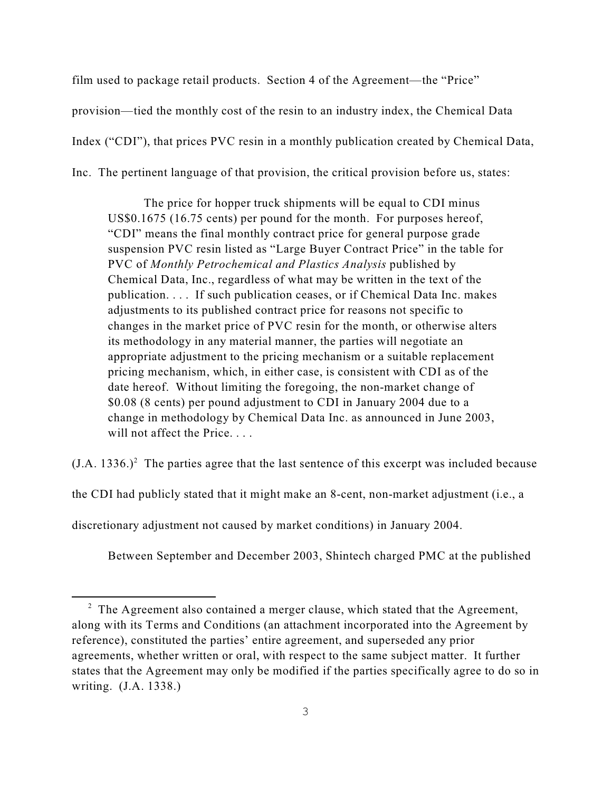film used to package retail products. Section 4 of the Agreement—the "Price" provision—tied the monthly cost of the resin to an industry index, the Chemical Data Index ("CDI"), that prices PVC resin in a monthly publication created by Chemical Data, Inc. The pertinent language of that provision, the critical provision before us, states:

The price for hopper truck shipments will be equal to CDI minus US\$0.1675 (16.75 cents) per pound for the month. For purposes hereof, "CDI" means the final monthly contract price for general purpose grade suspension PVC resin listed as "Large Buyer Contract Price" in the table for PVC of *Monthly Petrochemical and Plastics Analysis* published by Chemical Data, Inc., regardless of what may be written in the text of the publication. . . . If such publication ceases, or if Chemical Data Inc. makes adjustments to its published contract price for reasons not specific to changes in the market price of PVC resin for the month, or otherwise alters its methodology in any material manner, the parties will negotiate an appropriate adjustment to the pricing mechanism or a suitable replacement pricing mechanism, which, in either case, is consistent with CDI as of the date hereof. Without limiting the foregoing, the non-market change of \$0.08 (8 cents) per pound adjustment to CDI in January 2004 due to a change in methodology by Chemical Data Inc. as announced in June 2003, will not affect the Price....

 $(J.A. 1336.)<sup>2</sup>$  The parties agree that the last sentence of this excerpt was included because

the CDI had publicly stated that it might make an 8-cent, non-market adjustment (i.e., a

discretionary adjustment not caused by market conditions) in January 2004.

Between September and December 2003, Shintech charged PMC at the published

 $2\degree$  The Agreement also contained a merger clause, which stated that the Agreement, along with its Terms and Conditions (an attachment incorporated into the Agreement by reference), constituted the parties' entire agreement, and superseded any prior agreements, whether written or oral, with respect to the same subject matter. It further states that the Agreement may only be modified if the parties specifically agree to do so in writing. (J.A. 1338.)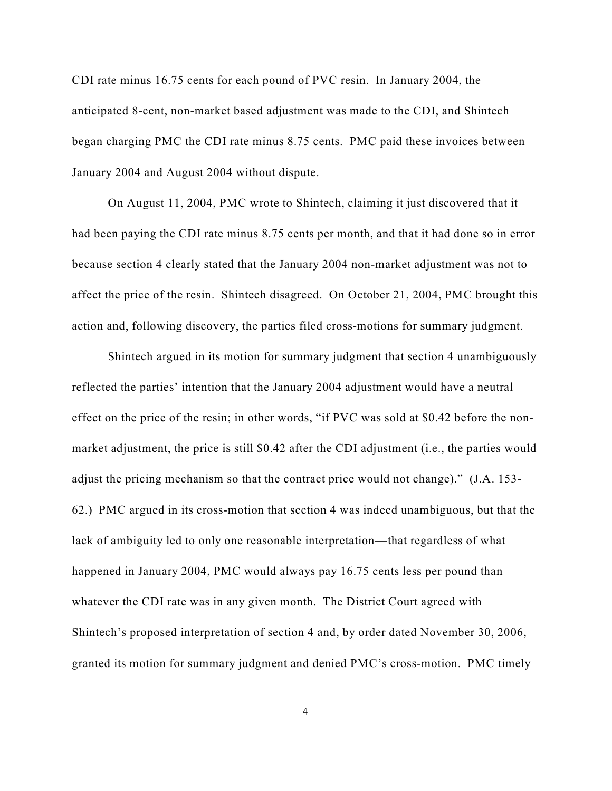CDI rate minus 16.75 cents for each pound of PVC resin. In January 2004, the anticipated 8-cent, non-market based adjustment was made to the CDI, and Shintech began charging PMC the CDI rate minus 8.75 cents. PMC paid these invoices between January 2004 and August 2004 without dispute.

On August 11, 2004, PMC wrote to Shintech, claiming it just discovered that it had been paying the CDI rate minus 8.75 cents per month, and that it had done so in error because section 4 clearly stated that the January 2004 non-market adjustment was not to affect the price of the resin. Shintech disagreed. On October 21, 2004, PMC brought this action and, following discovery, the parties filed cross-motions for summary judgment.

Shintech argued in its motion for summary judgment that section 4 unambiguously reflected the parties' intention that the January 2004 adjustment would have a neutral effect on the price of the resin; in other words, "if PVC was sold at \$0.42 before the nonmarket adjustment, the price is still \$0.42 after the CDI adjustment (i.e., the parties would adjust the pricing mechanism so that the contract price would not change)." (J.A. 153- 62.) PMC argued in its cross-motion that section 4 was indeed unambiguous, but that the lack of ambiguity led to only one reasonable interpretation—that regardless of what happened in January 2004, PMC would always pay 16.75 cents less per pound than whatever the CDI rate was in any given month. The District Court agreed with Shintech's proposed interpretation of section 4 and, by order dated November 30, 2006, granted its motion for summary judgment and denied PMC's cross-motion. PMC timely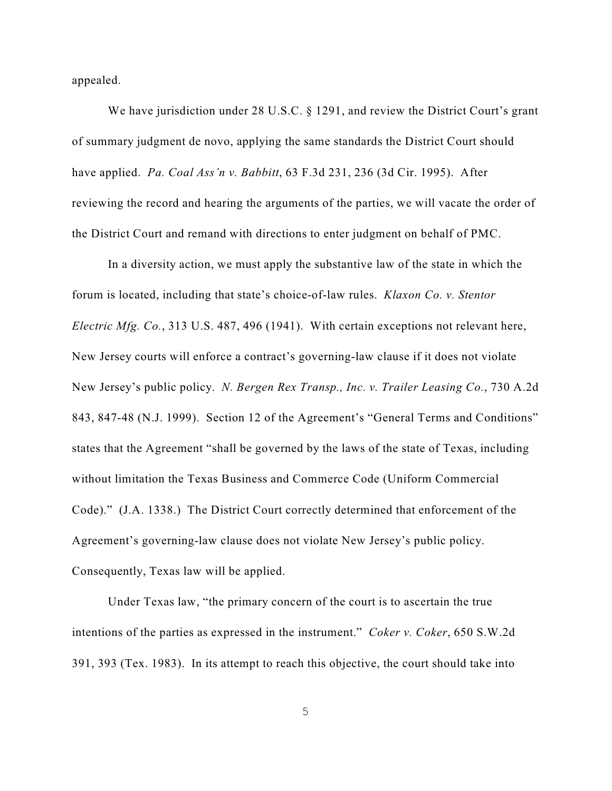appealed.

We have jurisdiction under 28 U.S.C. § 1291, and review the District Court's grant of summary judgment de novo, applying the same standards the District Court should have applied. *Pa. Coal Ass'n v. Babbitt*, 63 F.3d 231, 236 (3d Cir. 1995). After reviewing the record and hearing the arguments of the parties, we will vacate the order of the District Court and remand with directions to enter judgment on behalf of PMC.

In a diversity action, we must apply the substantive law of the state in which the forum is located, including that state's choice-of-law rules. *Klaxon Co. v. Stentor Electric Mfg. Co.*, 313 U.S. 487, 496 (1941). With certain exceptions not relevant here, New Jersey courts will enforce a contract's governing-law clause if it does not violate New Jersey's public policy. *N. Bergen Rex Transp., Inc. v. Trailer Leasing Co.*, 730 A.2d 843, 847-48 (N.J. 1999). Section 12 of the Agreement's "General Terms and Conditions" states that the Agreement "shall be governed by the laws of the state of Texas, including without limitation the Texas Business and Commerce Code (Uniform Commercial Code)." (J.A. 1338.) The District Court correctly determined that enforcement of the Agreement's governing-law clause does not violate New Jersey's public policy. Consequently, Texas law will be applied.

Under Texas law, "the primary concern of the court is to ascertain the true intentions of the parties as expressed in the instrument." *Coker v. Coker*, 650 S.W.2d 391, 393 (Tex. 1983). In its attempt to reach this objective, the court should take into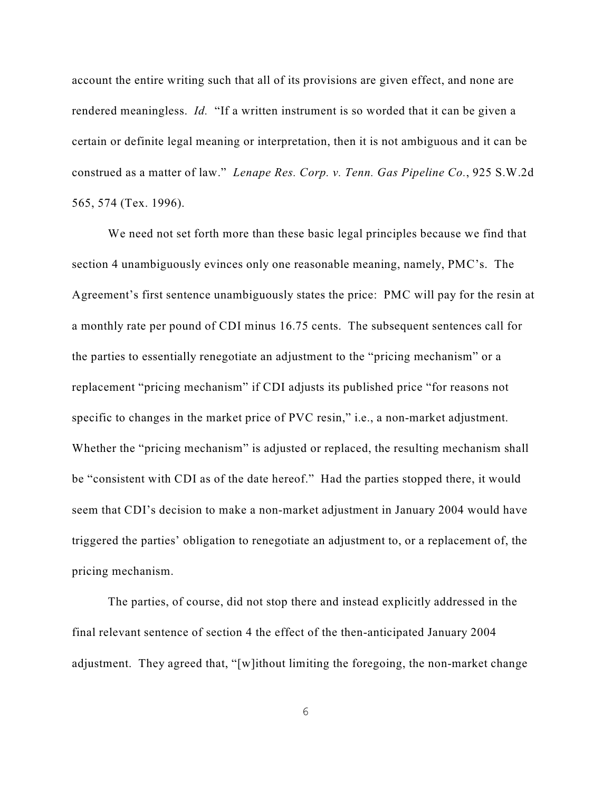account the entire writing such that all of its provisions are given effect, and none are rendered meaningless. *Id.* "If a written instrument is so worded that it can be given a certain or definite legal meaning or interpretation, then it is not ambiguous and it can be construed as a matter of law." *Lenape Res. Corp. v. Tenn. Gas Pipeline Co.*, 925 S.W.2d 565, 574 (Tex. 1996).

We need not set forth more than these basic legal principles because we find that section 4 unambiguously evinces only one reasonable meaning, namely, PMC's. The Agreement's first sentence unambiguously states the price: PMC will pay for the resin at a monthly rate per pound of CDI minus 16.75 cents. The subsequent sentences call for the parties to essentially renegotiate an adjustment to the "pricing mechanism" or a replacement "pricing mechanism" if CDI adjusts its published price "for reasons not specific to changes in the market price of PVC resin," i.e., a non-market adjustment. Whether the "pricing mechanism" is adjusted or replaced, the resulting mechanism shall be "consistent with CDI as of the date hereof." Had the parties stopped there, it would seem that CDI's decision to make a non-market adjustment in January 2004 would have triggered the parties' obligation to renegotiate an adjustment to, or a replacement of, the pricing mechanism.

The parties, of course, did not stop there and instead explicitly addressed in the final relevant sentence of section 4 the effect of the then-anticipated January 2004 adjustment. They agreed that, "[w]ithout limiting the foregoing, the non-market change

6